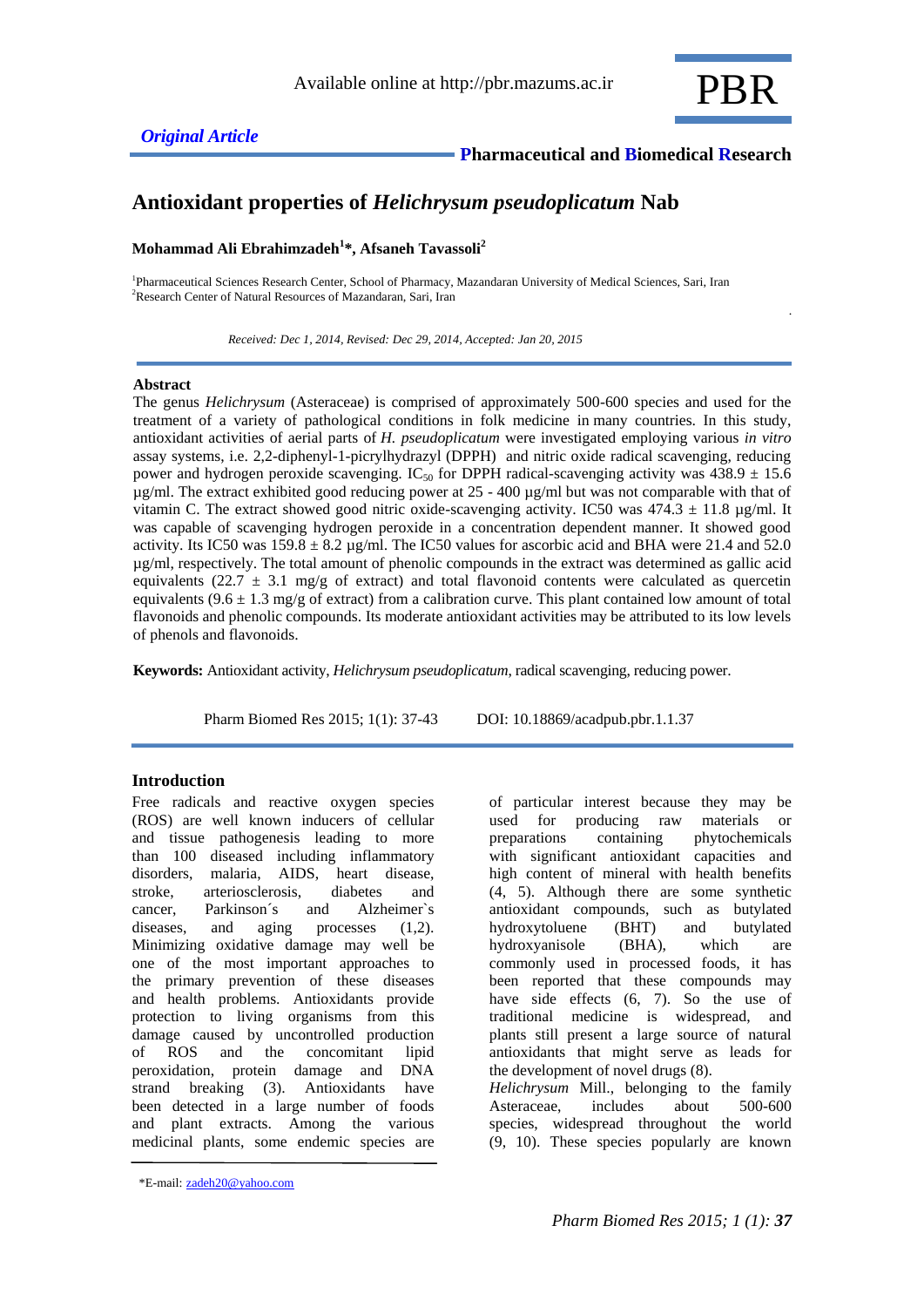

.

# **Antioxidant properties of** *Helichrysum pseudoplicatum* **Nab**

## **Mohammad Ali Ebrahimzadeh<sup>1</sup> \*, Afsaneh Tavassoli<sup>2</sup>**

1 Pharmaceutical Sciences Research Center, School of Pharmacy, Mazandaran University of Medical Sciences, Sari, Iran <sup>2</sup>Research Center of Natural Resources of Mazandaran, Sari, Iran

 *Received: Dec 1, 2014, Revised: Dec 29, 2014, Accepted: Jan 20, 2015*

#### **Abstract**

The genus *Helichrysum* (Asteraceae) is comprised of approximately 500-600 species and used for the treatment of a variety of pathological conditions in folk medicine in many countries. In this study, antioxidant activities of aerial parts of *H. pseudoplicatum* were investigated employing various *in vitro* assay systems, i.e. 2,2-diphenyl-1-picrylhydrazyl (DPPH) and nitric oxide radical scavenging, reducing power and hydrogen peroxide scavenging. IC<sub>50</sub> for DPPH radical-scavenging activity was  $438.9 \pm 15.6$ µg/ml. The extract exhibited good reducing power at 25 - 400 µg/ml but was not comparable with that of vitamin C. The extract showed good nitric oxide-scavenging activity. IC50 was  $474.3 \pm 11.8$  ug/ml. It was capable of scavenging hydrogen peroxide in a concentration dependent manner. It showed good activity. Its IC50 was  $159.8 \pm 8.2$  µg/ml. The IC50 values for ascorbic acid and BHA were 21.4 and 52.0 µg/ml, respectively. The total amount of phenolic compounds in the extract was determined as gallic acid equivalents (22.7  $\pm$  3.1 mg/g of extract) and total flavonoid contents were calculated as quercetin equivalents  $(9.6 \pm 1.3 \text{ mg/g of extract})$  from a calibration curve. This plant contained low amount of total flavonoids and phenolic compounds. Its moderate antioxidant activities may be attributed to its low levels of phenols and flavonoids.

**Keywords:** Antioxidant activity, *Helichrysum pseudoplicatum*, radical scavenging, reducing power.

Pharm Biomed Res 2015; 1(1): 37-43 DOI: 10.18869/acadpub.pbr.1.1.37

## **Introduction**

Free radicals and reactive oxygen species (ROS) are well known inducers of cellular and tissue pathogenesis leading to more than 100 diseased including inflammatory disorders, malaria, AIDS, heart disease, stroke, arteriosclerosis, diabetes and cancer, Parkinson´s and Alzheimer`s diseases, and aging processes  $(1,2)$ . Minimizing oxidative damage may well be one of the most important approaches to the primary prevention of these diseases and health problems. Antioxidants provide protection to living organisms from this damage caused by uncontrolled production of ROS and the concomitant lipid peroxidation, protein damage and DNA strand breaking (3). Antioxidants have been detected in a large number of foods and plant extracts. Among the various medicinal plants, some endemic species are of particular interest because they may be used for producing raw materials or preparations containing phytochemicals with significant antioxidant capacities and high content of mineral with health benefits (4, 5). Although there are some synthetic antioxidant compounds, such as butylated hydroxytoluene (BHT) and butylated hydroxyanisole (BHA), which are commonly used in processed foods, it has been reported that these compounds may have side effects (6, 7). So the use of traditional medicine is widespread, and plants still present a large source of natural antioxidants that might serve as leads for the development of novel drugs (8). *Helichrysum* Mill., belonging to the family

Asteraceae, includes about 500-600 species, widespread throughout the world (9, 10). These species popularly are known

<sup>\*</sup>E-mail: [zadeh20@yahoo.com](mailto:zadeh20@yahoo.com)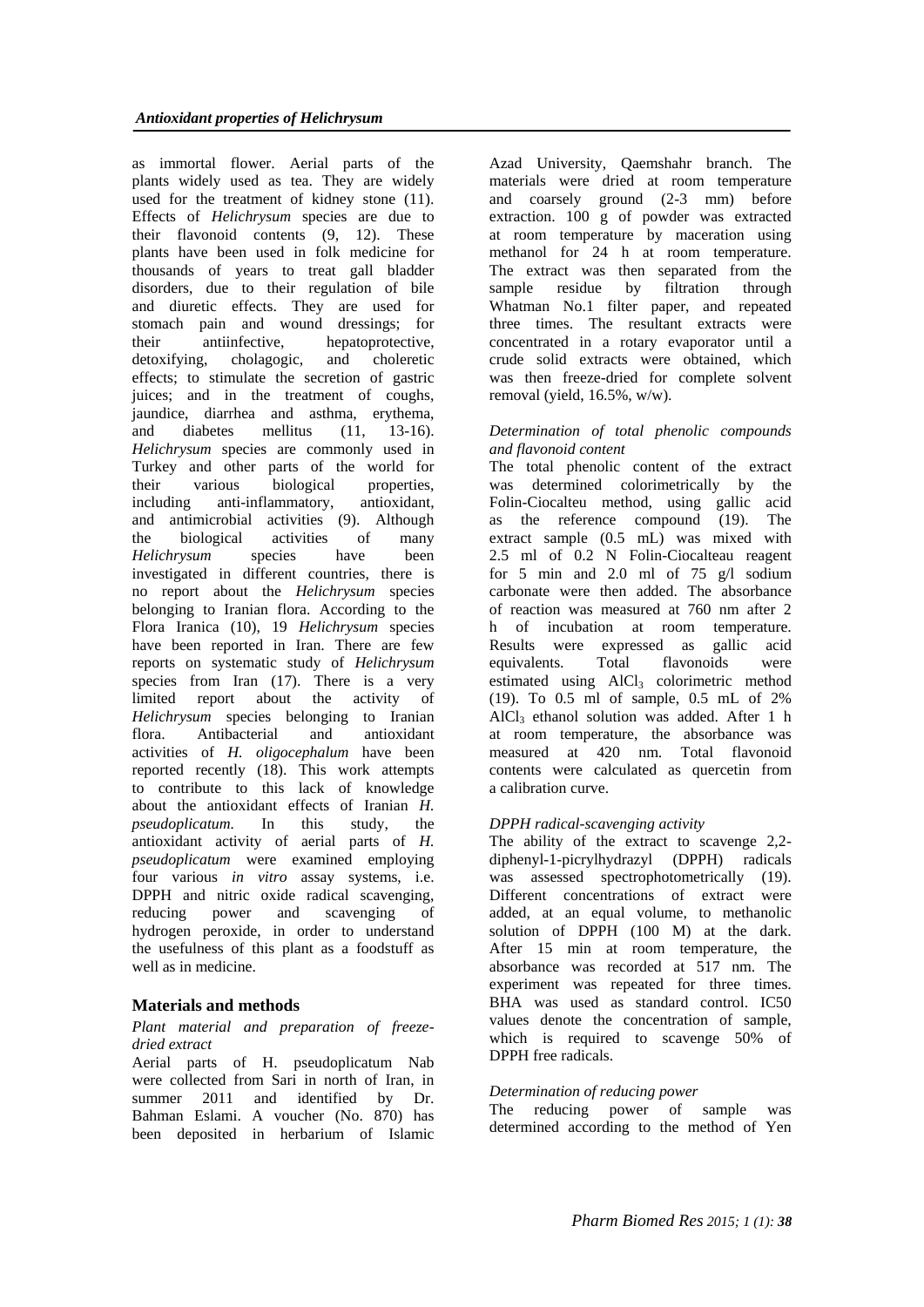as immortal flower. Aerial parts of the plants widely used as tea. They are widely used for the treatment of kidney stone (11). Effects of *Helichrysum* species are due to their flavonoid contents (9, 12). These plants have been used in folk medicine for thousands of years to treat gall bladder disorders, due to their regulation of bile and diuretic effects. They are used for stomach pain and wound dressings; for<br>their antiinfective, hepatoprotective, their antiinfective, hepatoprotective, detoxifying, cholagogic, and choleretic effects; to stimulate the secretion of gastric juices; and in the treatment of coughs, jaundice, diarrhea and asthma, erythema, and diabetes mellitus (11, 13-16). *Helichrysum* species are commonly used in Turkey and other parts of the world for their various biological properties, including anti-inflammatory, antioxidant, and antimicrobial activities (9). Although the biological activities of many *Helichrysum* species have been investigated in different countries, there is no report about the *Helichrysum* species belonging to Iranian flora. According to the Flora Iranica (10), 19 *Helichrysum* species have been reported in Iran. There are few reports on systematic study of *Helichrysum* species from Iran (17). There is a very limited report about the activity of *Helichrysum* species belonging to Iranian flora. Antibacterial and antioxidant activities of *H. oligocephalum* have been reported recently (18). This work attempts to contribute to this lack of knowledge about the antioxidant effects of Iranian *H. pseudoplicatum.* In this study, the antioxidant activity of aerial parts of *H. pseudoplicatum* were examined employing four various *in vitro* assay systems, i.e. DPPH and nitric oxide radical scavenging, reducing power and scavenging of hydrogen peroxide, in order to understand the usefulness of this plant as a foodstuff as well as in medicine.

# **Materials and methods**

## *Plant material and preparation of freezedried extract*

Aerial parts of H. pseudoplicatum Nab were collected from Sari in north of Iran, in summer 2011 and identified by Dr. Bahman Eslami. A voucher (No. 870) has been deposited in herbarium of Islamic

Azad University, Qaemshahr branch. The materials were dried at room temperature and coarsely ground (2-3 mm) before extraction. 100 g of powder was extracted at room temperature by maceration using methanol for 24 h at room temperature. The extract was then separated from the sample residue by filtration through Whatman No.1 filter paper, and repeated three times. The resultant extracts were concentrated in a rotary evaporator until a crude solid extracts were obtained, which was then freeze-dried for complete solvent removal (yield, 16.5%, w/w).

## *Determination of total phenolic compounds and flavonoid content*

The total phenolic content of the extract was determined colorimetrically by the Folin-Ciocalteu method, using gallic acid as the reference compound (19). The extract sample (0.5 mL) was mixed with 2.5 ml of 0.2 N Folin-Ciocalteau reagent for 5 min and 2.0 ml of 75  $g/$ l sodium carbonate were then added. The absorbance of reaction was measured at 760 nm after 2 h of incubation at room temperature. Results were expressed as gallic acid equivalents. Total flavonoids were estimated using  $AICI_3$  colorimetric method (19). To 0.5 ml of sample, 0.5 mL of 2% AlCl<sup>3</sup> ethanol solution was added. After 1 h at room temperature, the absorbance was measured at 420 nm. Total flavonoid contents were calculated as quercetin from a calibration curve.

# *DPPH radical-scavenging activity*

The ability of the extract to scavenge 2,2 diphenyl-1-picrylhydrazyl (DPPH) radicals was assessed spectrophotometrically (19). Different concentrations of extract were added, at an equal volume, to methanolic solution of DPPH (100 M) at the dark. After 15 min at room temperature, the absorbance was recorded at 517 nm. The experiment was repeated for three times. BHA was used as standard control. IC50 values denote the concentration of sample, which is required to scavenge 50% of DPPH free radicals.

## *Determination of reducing power*

The reducing power of sample was determined according to the method of Yen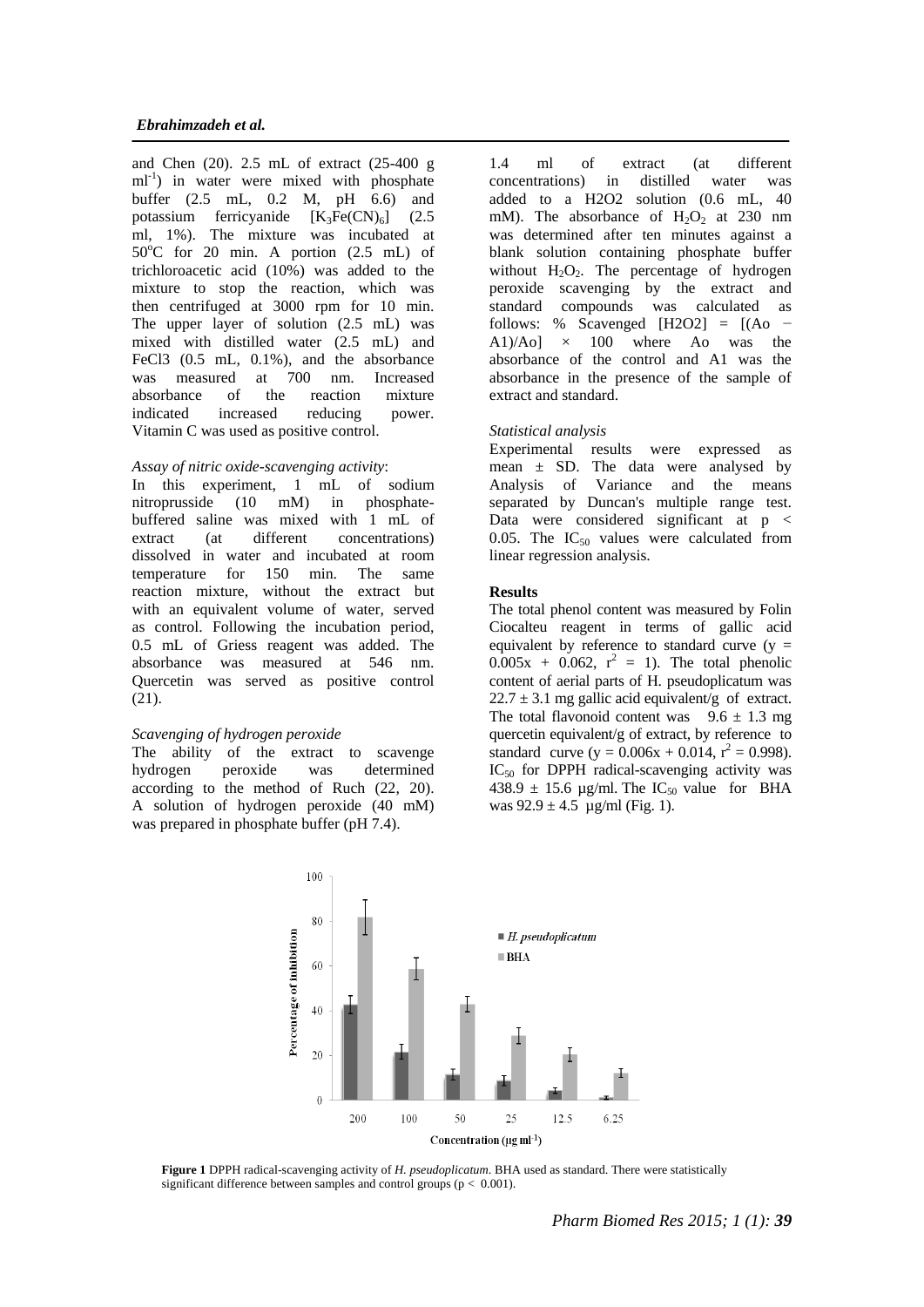and Chen (20). 2.5 mL of extract (25-400 g ml<sup>-1</sup>) in water were mixed with phosphate buffer (2.5 mL, 0.2 M, pH 6.6) and potassium ferricyanide  $[K_3Fe(CN)_6]$  (2.5 ml, 1%). The mixture was incubated at  $50^{\circ}$ C for 20 min. A portion (2.5 mL) of trichloroacetic acid (10%) was added to the mixture to stop the reaction, which was then centrifuged at 3000 rpm for 10 min. The upper layer of solution (2.5 mL) was mixed with distilled water (2.5 mL) and FeCl3  $(0.5 \text{ mL}, 0.1\%)$ , and the absorbance was measured at 700 nm. Increased absorbance of the reaction mixture indicated increased reducing power. Vitamin C was used as positive control.

## *Assay of nitric oxide-scavenging activity*:

In this experiment, 1 mL of sodium nitroprusside (10 mM) in phosphatebuffered saline was mixed with 1 mL of extract (at different concentrations) dissolved in water and incubated at room temperature for 150 min. The same reaction mixture, without the extract but with an equivalent volume of water, served as control. Following the incubation period, 0.5 mL of Griess reagent was added. The absorbance was measured at 546 nm. Quercetin was served as positive control (21).

#### *Scavenging of hydrogen peroxide*

The ability of the extract to scavenge hydrogen peroxide was determined according to the method of Ruch (22, 20). A solution of hydrogen peroxide (40 mM) was prepared in phosphate buffer (pH 7.4).

1.4 ml of extract (at different concentrations) in distilled water was added to a H2O2 solution (0.6 mL, 40 mM). The absorbance of  $H_2O_2$  at 230 nm was determined after ten minutes against a blank solution containing phosphate buffer without  $H_2O_2$ . The percentage of hydrogen peroxide scavenging by the extract and standard compounds was calculated as follows: % Scavenged  $[H2O2] = [(Ao -]$  $A1$ / $Ao$ ]  $\times$  100 where Ao was the absorbance of the control and A1 was the absorbance in the presence of the sample of extract and standard.

#### *Statistical analysis*

Experimental results were expressed as mean  $\pm$  SD. The data were analysed by Analysis of Variance and the means separated by Duncan's multiple range test. Data were considered significant at p < 0.05. The  $IC_{50}$  values were calculated from linear regression analysis.

#### **Results**

The total phenol content was measured by Folin Ciocalteu reagent in terms of gallic acid equivalent by reference to standard curve  $(y =$  $0.005x + 0.062$ ,  $r^2 = 1$ ). The total phenolic content of aerial parts of H. pseudoplicatum was  $22.7 \pm 3.1$  mg gallic acid equivalent/g of extract. The total flavonoid content was  $9.6 \pm 1.3$  mg quercetin equivalent/g of extract, by reference to standard curve  $(y = 0.006x + 0.014, r^2 = 0.998)$ . IC<sub>50</sub> for DPPH radical-scavenging activity was 438.9  $\pm$  15.6 µg/ml. The IC<sub>50</sub> value for BHA was  $92.9 \pm 4.5$  µg/ml (Fig. 1).



**Figure 1** DPPH radical-scavenging activity of *H. pseudoplicatum*. BHA used as standard. There were statistically significant difference between samples and control groups ( $p < 0.001$ ).

*Pharm Biomed Res 2015; 1 (1): 39*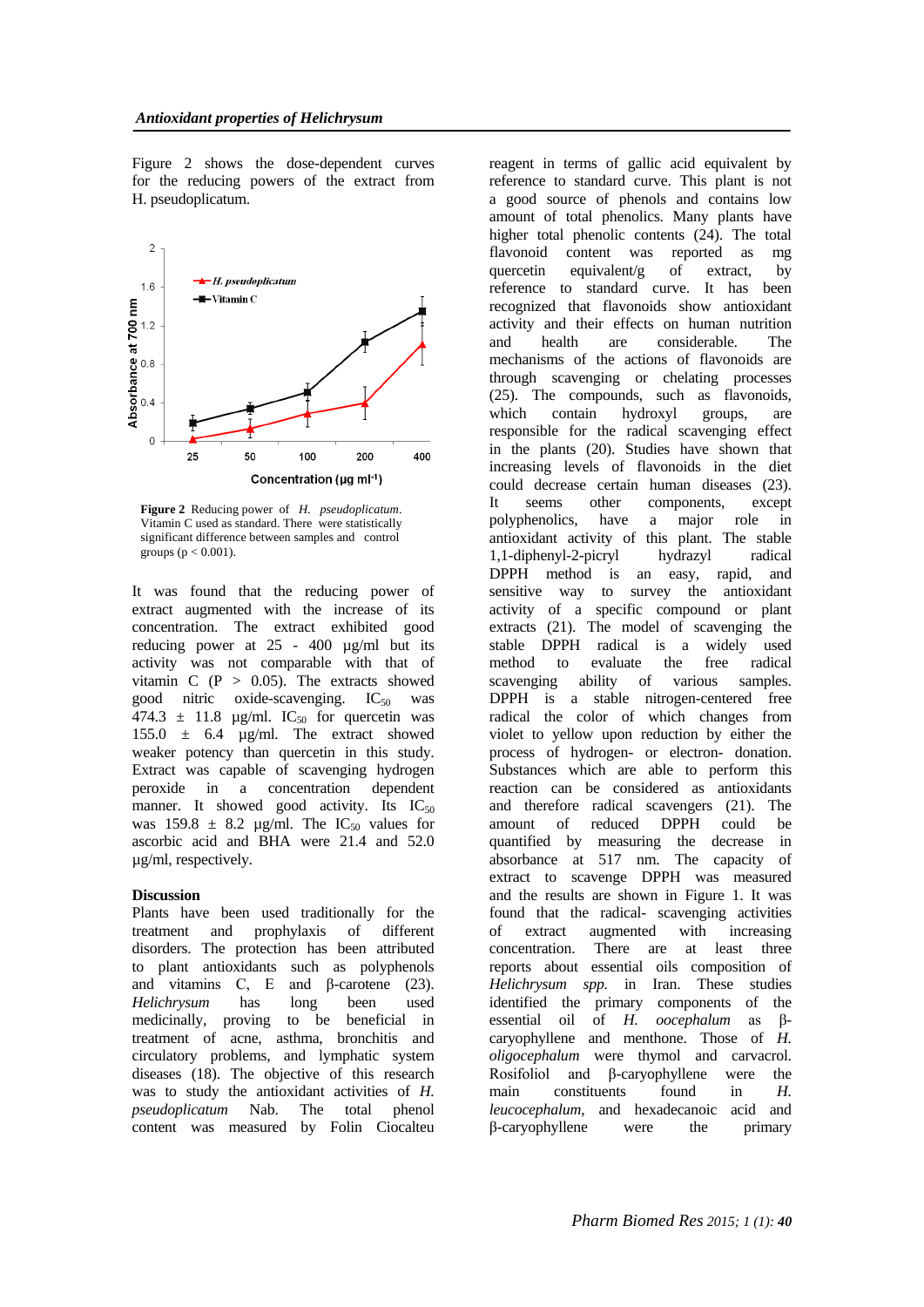Figure 2 shows the dose-dependent curves for the reducing powers of the extract from H. pseudoplicatum.



**Figure 2** Reducing power of *H. pseudoplicatum*. Vitamin C used as standard. There were statistically significant difference between samples and control groups ( $p < 0.001$ ).

It was found that the reducing power of extract augmented with the increase of its concentration. The extract exhibited good reducing power at 25 - 400 µg/ml but its activity was not comparable with that of vitamin C  $(P > 0.05)$ . The extracts showed good nitric oxide-scavenging.  $IC_{50}$  was 474.3  $\pm$  11.8 µg/ml. IC<sub>50</sub> for quercetin was 155.0 ± 6.4 µg/ml. The extract showed weaker potency than quercetin in this study. Extract was capable of scavenging hydrogen peroxide in a concentration dependent manner. It showed good activity. Its  $IC_{50}$ was 159.8  $\pm$  8.2 µg/ml. The IC<sub>50</sub> values for ascorbic acid and BHA were 21.4 and 52.0 µg/ml, respectively.

### **Discussion**

Plants have been used traditionally for the treatment and prophylaxis of different disorders. The protection has been attributed to plant antioxidants such as polyphenols and vitamins C, E and  $\beta$ -carotene (23). *Helichrysum* has long been used medicinally, proving to be beneficial in treatment of acne, asthma, bronchitis and circulatory problems, and lymphatic system diseases (18). The objective of this research was to study the antioxidant activities of *H. pseudoplicatum* Nab. The total phenol content was measured by Folin Ciocalteu

reagent in terms of gallic acid equivalent by reference to standard curve. This plant is not a good source of phenols and contains low amount of total phenolics. Many plants have higher total phenolic contents (24). The total flavonoid content was reported as mg quercetin equivalent/g of extract, by reference to standard curve. It has been recognized that flavonoids show antioxidant activity and their effects on human nutrition and health are considerable. The mechanisms of the actions of flavonoids are through scavenging or chelating processes (25). The compounds, such as flavonoids, which contain hydroxyl groups, are responsible for the radical scavenging effect in the plants (20). Studies have shown that increasing levels of flavonoids in the diet could decrease certain human diseases (23). It seems other components, except polyphenolics, have a major role in antioxidant activity of this plant. The stable 1,1-diphenyl-2-picryl hydrazyl radical DPPH method is an easy, rapid, and sensitive way to survey the antioxidant activity of a specific compound or plant extracts (21). The model of scavenging the stable DPPH radical is a widely used method to evaluate the free radical scavenging ability of various samples. DPPH is a stable nitrogen-centered free radical the color of which changes from violet to yellow upon reduction by either the process of hydrogen- or electron- donation. Substances which are able to perform this reaction can be considered as antioxidants and therefore radical scavengers (21). The amount of reduced DPPH could be quantified by measuring the decrease in absorbance at 517 nm. The capacity of extract to scavenge DPPH was measured and the results are shown in Figure 1. It was found that the radical- scavenging activities of extract augmented with increasing concentration. There are at least three reports about essential oils composition of *Helichrysum spp.* in Iran. These studies identified the primary components of the essential oil of *H. oocephalum* as βcaryophyllene and menthone. Those of *H. oligocephalum* were thymol and carvacrol.<br>Rosifoliol and B-carvophyllene were the Rosifoliol and  $\beta$ -caryophyllene main constituents found in *H. leucocephalum*, and hexadecanoic acid and β-caryophyllene were the primary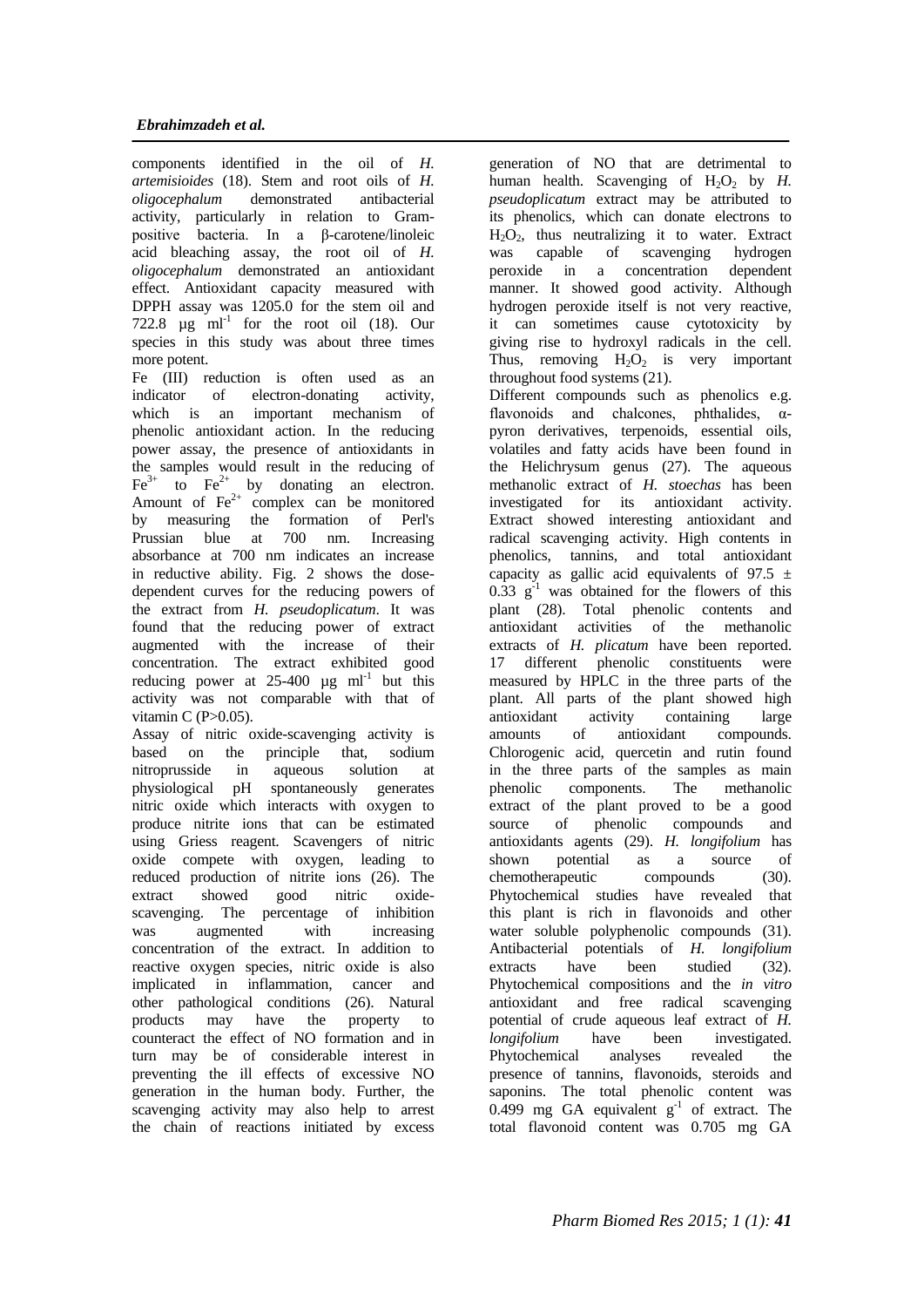components identified in the oil of *H. artemisioides* (18). Stem and root oils of *H. oligocephalum* demonstrated antibacterial activity, particularly in relation to Grampositive bacteria. In a β-carotene/linoleic acid bleaching assay, the root oil of *H. oligocephalum* demonstrated an antioxidant effect. Antioxidant capacity measured with DPPH assay was 1205.0 for the stem oil and 722.8  $\mu$ g ml<sup>-1</sup> for the root oil (18). Our species in this study was about three times more potent.

Fe (III) reduction is often used as an indicator of electron-donating activity, which is an important mechanism of phenolic antioxidant action. In the reducing power assay, the presence of antioxidants in the samples would result in the reducing of  $\text{Fe}^{3+}$  to  $\text{Fe}^{2+}$  by donating an electron. Amount of  $Fe^{2+}$  complex can be monitored by measuring the formation of Perl's Prussian blue at 700 nm. Increasing absorbance at 700 nm indicates an increase in reductive ability. Fig. 2 shows the dosedependent curves for the reducing powers of the extract from *H. pseudoplicatum*. It was found that the reducing power of extract augmented with the increase of their concentration. The extract exhibited good reducing power at  $25-400 \mu g$  ml<sup>-1</sup> but this activity was not comparable with that of vitamin C (P>0.05).

Assay of nitric oxide-scavenging activity is based on the principle that, sodium nitroprusside in aqueous solution at physiological pH spontaneously generates nitric oxide which interacts with oxygen to produce nitrite ions that can be estimated using Griess reagent. Scavengers of nitric oxide compete with oxygen, leading to reduced production of nitrite ions (26). The extract showed good nitric oxidescavenging. The percentage of inhibition was augmented with increasing concentration of the extract. In addition to reactive oxygen species, nitric oxide is also implicated in inflammation, cancer and other pathological conditions (26). Natural<br>products may have the property to products may have the property to counteract the effect of NO formation and in turn may be of considerable interest in preventing the ill effects of excessive NO generation in the human body. Further, the scavenging activity may also help to arrest the chain of reactions initiated by excess

generation of NO that are detrimental to human health. Scavenging of  $H_2O_2$  by *H*. *pseudoplicatum* extract may be attributed to its phenolics, which can donate electrons to  $H_2O_2$ , thus neutralizing it to water. Extract was capable of scavenging hydrogen peroxide in a concentration dependent manner. It showed good activity. Although hydrogen peroxide itself is not very reactive, it can sometimes cause cytotoxicity by giving rise to hydroxyl radicals in the cell. Thus, removing  $H_2O_2$  is very important throughout food systems (21).

Different compounds such as phenolics e.g. flavonoids and chalcones, phthalides, αpyron derivatives, terpenoids, essential oils, volatiles and fatty acids have been found in the Helichrysum genus (27). The aqueous methanolic extract of *H. stoechas* has been investigated for its antioxidant activity. Extract showed interesting antioxidant and radical scavenging activity. High contents in phenolics, tannins, and total antioxidant capacity as gallic acid equivalents of 97.5  $\pm$  $0.33$  g<sup>-1</sup> was obtained for the flowers of this plant (28). Total phenolic contents and antioxidant activities of the methanolic extracts of *H. plicatum* have been reported. 17 different phenolic constituents were measured by HPLC in the three parts of the plant. All parts of the plant showed high antioxidant activity containing large amounts of antioxidant compounds. Chlorogenic acid, quercetin and rutin found in the three parts of the samples as main phenolic components. The methanolic extract of the plant proved to be a good source of phenolic compounds and antioxidants agents (29). *H. longifolium* has shown potential as a source of<br>chemotheraneutic compounds (30). chemotherapeutic compounds Phytochemical studies have revealed that this plant is rich in flavonoids and other water soluble polyphenolic compounds  $(31)$ . Antibacterial potentials of *H. longifolium* extracts have been studied (32). Phytochemical compositions and the *in vitro* antioxidant and free radical scavenging potential of crude aqueous leaf extract of *H. longifolium* have been investigated. Phytochemical analyses revealed the presence of tannins, flavonoids, steroids and saponins. The total phenolic content was  $0.499$  mg GA equivalent  $g^{-1}$  of extract. The total flavonoid content was 0.705 mg GA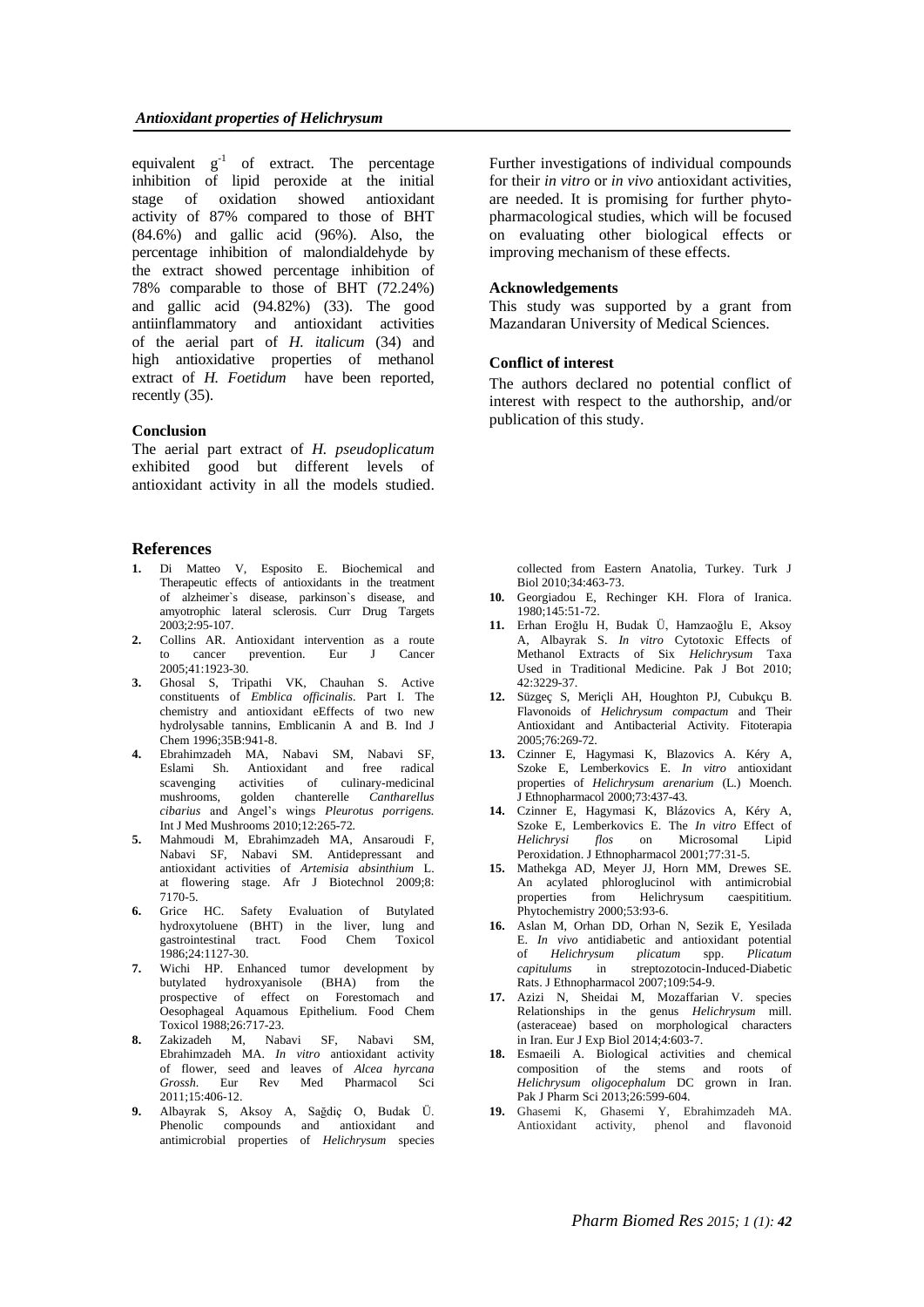equivalent  $g^{-1}$  of extract. The percentage inhibition of lipid peroxide at the initial stage of oxidation showed antioxidant activity of 87% compared to those of BHT  $(84.6\%)$  and gallic acid  $(96\%)$ . Also, the percentage inhibition of malondialdehyde by the extract showed percentage inhibition of 78% comparable to those of BHT (72.24%) and gallic acid (94.82%) (33). The good antiinflammatory and antioxidant activities of the aerial part of *H. italicum* (34) and high antioxidative properties of methanol extract of *H. Foetidum* have been reported, recently (35).

### **Conclusion**

The aerial part extract of *H. pseudoplicatum*  exhibited good but different levels of antioxidant activity in all the models studied.

#### **References**

- **1.** Di Matteo V, Esposito E. Biochemical and Therapeutic effects of antioxidants in the treatment of alzheimer`s disease, parkinson`s disease, and amyotrophic lateral sclerosis. Curr Drug Targets  $2003.2.95 - 107$
- **2.** Collins AR. Antioxidant intervention as a route to cancer prevention. Eur J Cancer 2005;41:1923-30.
- **3.** Ghosal S, Tripathi VK, Chauhan S. Active constituents of *Emblica officinalis*. Part I. The chemistry and antioxidant eEffects of two new hydrolysable tannins, Emblicanin A and B. Ind J Chem 1996;35B:941-8.
- **4.** Ebrahimzadeh MA, Nabavi SM, Nabavi SF, Eslami Sh. Antioxidant and free radical scavenging activities of culinary-medicinal mushrooms, golden chanterelle *Cantharellus cibarius* and Angel's wings *Pleurotus porrigens.* Int J Med Mushrooms 2010;12:265-72*.*
- **5.** Mahmoudi M, Ebrahimzadeh MA, Ansaroudi F, Nabavi SF, Nabavi SM. Antidepressant and antioxidant activities of *Artemisia absinthium* L. at flowering stage. Afr J Biotechnol 2009;8: 7170-5.
- **6.** Grice HC. Safety Evaluation of Butylated hydroxytoluene (BHT) in the liver, lung and<br>gastrointestinal tract. Food Chem Toxicol tract. Food Chem Toxicol 1986;24:1127-30.
- **7.** Wichi HP. Enhanced tumor development by butylated hydroxyanisole (BHA) from the prospective of effect on Forestomach and Oesophageal Aquamous Epithelium. Food Chem Toxicol 1988;26:717-23.
- **8.** Zakizadeh M, Nabavi SF, Nabavi SM, Ebrahimzadeh MA. *In vitro* antioxidant activity of flower, seed and leaves of *Alcea hyrcana Grossh*. Eur Rev Med Pharmacol Sci 2011;15:406-12.
- **9.** Albayrak S, Aksoy A, Sağdiç O, Budak Ü. Phenolic compounds and antioxidant and antimicrobial properties of *Helichrysum* species

Further investigations of individual compounds for their *in vitro* or *in vivo* antioxidant activities, are needed. It is promising for further phytopharmacological studies, which will be focused on evaluating other biological effects or improving mechanism of these effects.

### **Acknowledgements**

This study was supported by a grant from Mazandaran University of Medical Sciences.

#### **Conflict of interest**

The authors declared no potential conflict of interest with respect to the authorship, and/or publication of this study.

collected from Eastern Anatolia, Turkey. Turk J Biol 2010;34:463-73.

- **10.** Georgiadou E, Rechinger KH. Flora of Iranica. 1980;145:51-72.
- **11.** Erhan Eroğlu H, Budak Ü, Hamzaoğlu E, Aksoy A, Albayrak S. *In vitro* Cytotoxic Effects of Methanol Extracts of Six *Helichrysum* Taxa Used in Traditional Medicine. Pak J Bot 2010; 42:3229-37.
- **12.** Süzgeç S, Meriçli AH, Houghton PJ, Cubukçu B. Flavonoids of *Helichrysum compactum* and Their Antioxidant and Antibacterial Activity. Fitoterapia 2005;76:269-72.
- **13.** Czinner E, Hagymasi K, Blazovics A. Kéry A, Szoke E, Lemberkovics E. *In vitro* antioxidant properties of *Helichrysum arenarium* (L.) Moench. J Ethnopharmacol 2000;73:437-43.
- **14.** Czinner E, Hagymasi K, Blázovics A, Kéry A, Szoke E, Lemberkovics E. The *In vitro* Effect of *Helichrysi flos* on Microsomal Lipid Peroxidation. J Ethnopharmacol 2001;77:31-5.
- **15.** Mathekga AD, Meyer JJ, Horn MM, Drewes SE. An acylated phloroglucinol with antimicrobial<br>properties from Helichrysum caespititium. properties from Helichrysum caespititium. Phytochemistry 2000;53:93-6.
- **16.** Aslan M, Orhan DD, Orhan N, Sezik E, Yesilada E. *In vivo* antidiabetic and antioxidant potential of *Helichrysum plicatum* spp. *Plicatum capitulums* in streptozotocin-Induced-Diabetic Rats. J Ethnopharmacol 2007;109:54-9.
- **17.** Azizi N, Sheidai M, Mozaffarian V. species Relationships in the genus *Helichrysum* mill. (asteraceae) based on morphological characters in Iran. Eur J Exp Biol 2014;4:603-7.
- **18.** Esmaeili A. Biological activities and chemical composition of the stems and roots of *Helichrysum oligocephalum* DC grown in Iran. Pak J Pharm Sci 2013;26:599-604.
- **19.** Ghasemi K, Ghasemi Y, Ebrahimzadeh MA. Antioxidant activity, phenol and flavonoid